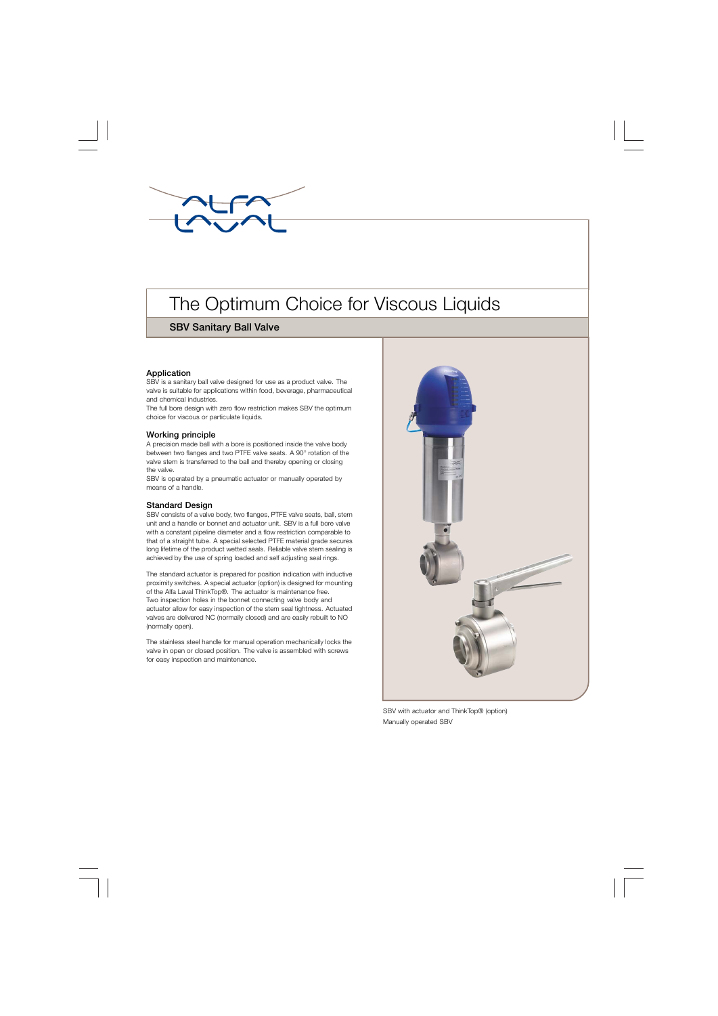

# The Optimum Choice for Viscous Liquids

## **SBV Sanitary Ball Valve**

## **Application**

SBV is a sanitary ball valve designed for use as a product valve. The valve is suitable for applications within food, beverage, pharmaceutical and chemical industries.

The full bore design with zero flow restriction makes SBV the optimum choice for viscous or particulate liquids.

## **Working principle**

A precision made ball with a bore is positioned inside the valve body between two flanges and two PTFE valve seats. A 90° rotation of the valve stem is transferred to the ball and thereby opening or closing the valve.

SBV is operated by a pneumatic actuator or manually operated by means of a handle.

## **Standard Design**

SBV consists of a valve body, two flanges, PTFE valve seats, ball, stem unit and a handle or bonnet and actuator unit. SBV is a full bore valve with a constant pipeline diameter and a flow restriction comparable to that of a straight tube. A special selected PTFE material grade secures long lifetime of the product wetted seals. Reliable valve stem sealing is achieved by the use of spring loaded and self adjusting seal rings.

The standard actuator is prepared for position indication with inductive proximity switches. A special actuator (option) is designed for mounting of the Alfa Laval ThinkTop®. The actuator is maintenance free. Two inspection holes in the bonnet connecting valve body and actuator allow for easy inspection of the stem seal tightness. Actuated valves are delivered NC (normally closed) and are easily rebuilt to NO (normally open).

The stainless steel handle for manual operation mechanically locks the valve in open or closed position. The valve is assembled with screws for easy inspection and maintenance.



SBV with actuator and ThinkTop® (option) Manually operated SBV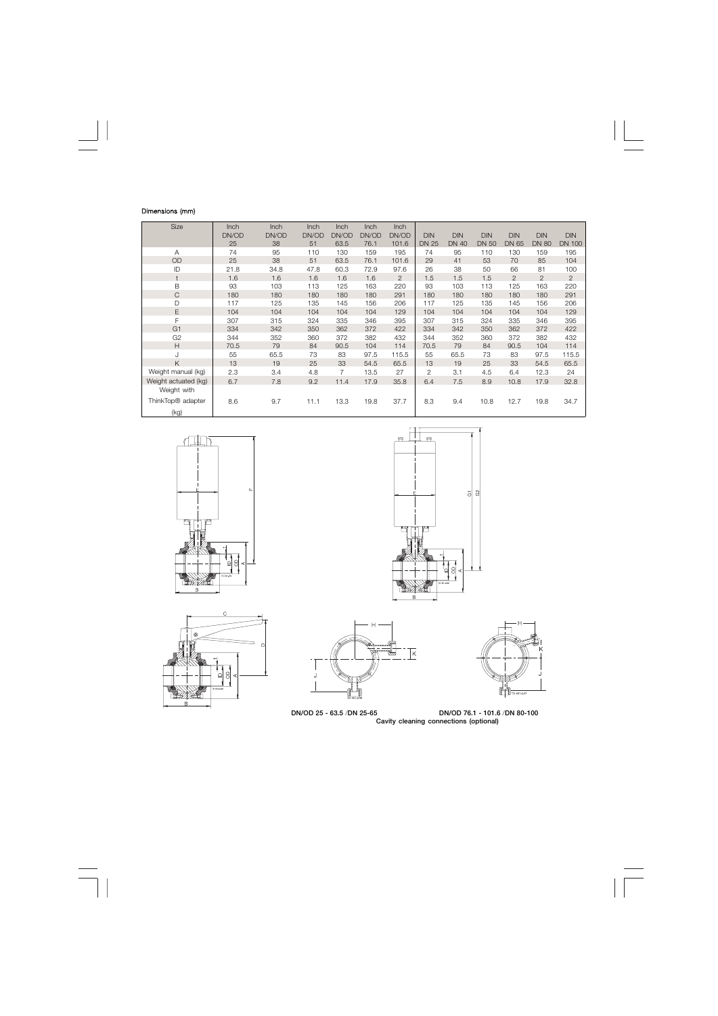## Dimensions (mm)

| Size                          | Inch  | Inch  | <b>Inch</b> | <b>Inch</b>    | <b>Inch</b> | <b>Inch</b> |                |              |              |            |                |                |
|-------------------------------|-------|-------|-------------|----------------|-------------|-------------|----------------|--------------|--------------|------------|----------------|----------------|
|                               | DN/OD | DN/OD | DN/OD       | DN/OD          | DN/OD       | DN/OD       | <b>DIN</b>     | <b>DIN</b>   | <b>DIN</b>   | <b>DIN</b> | <b>DIN</b>     | <b>DIN</b>     |
|                               | 25    | 38    | 51          | 63.5           | 76.1        | 101.6       | <b>DN 25</b>   | <b>DN 40</b> | <b>DN 50</b> | DN 65      | <b>DN 80</b>   | <b>DN 100</b>  |
| A                             | 74    | 95    | 110         | 130            | 159         | 195         | 74             | 95           | 110          | 130        | 159            | 195            |
| OD                            | 25    | 38    | 51          | 63.5           | 76.1        | 101.6       | 29             | 41           | 53           | 70         | 85             | 104            |
| ID                            | 21.8  | 34.8  | 47.8        | 60.3           | 72.9        | 97.6        | 26             | 38           | 50           | 66         | 81             | 100            |
|                               | 1.6   | 1.6   | 1.6         | 1.6            | 1.6         | 2           | 1.5            | 1.5          | 1.5          | 2          | $\overline{2}$ | $\overline{2}$ |
| B                             | 93    | 103   | 113         | 125            | 163         | 220         | 93             | 103          | 113          | 125        | 163            | 220            |
| C                             | 180   | 180   | 180         | 180            | 180         | 291         | 180            | 180          | 180          | 180        | 180            | 291            |
| D                             | 117   | 125   | 135         | 145            | 156         | 206         | 117            | 125          | 135          | 145        | 156            | 206            |
| E                             | 104   | 104   | 104         | 104            | 104         | 129         | 104            | 104          | 104          | 104        | 104            | 129            |
| F                             | 307   | 315   | 324         | 335            | 346         | 395         | 307            | 315          | 324          | 335        | 346            | 395            |
| G <sub>1</sub>                | 334   | 342   | 350         | 362            | 372         | 422         | 334            | 342          | 350          | 362        | 372            | 422            |
| G <sub>2</sub>                | 344   | 352   | 360         | 372            | 382         | 432         | 344            | 352          | 360          | 372        | 382            | 432            |
| H                             | 70.5  | 79    | 84          | 90.5           | 104         | 114         | 70.5           | 79           | 84           | 90.5       | 104            | 114            |
| J                             | 55    | 65.5  | 73          | 83             | 97.5        | 115.5       | 55             | 65.5         | 73           | 83         | 97.5           | 115.5          |
| K                             | 13    | 19    | 25          | 33             | 54.5        | 65.5        | 13             | 19           | 25           | 33         | 54.5           | 65.5           |
| Weight manual (kg)            | 2.3   | 3.4   | 4.8         | $\overline{7}$ | 13.5        | 27          | $\overline{2}$ | 3.1          | 4.5          | 6.4        | 12.3           | 24             |
| Weight actuated (kg)          | 6.7   | 7.8   | 9.2         | 11.4           | 17.9        | 35.8        | 6.4            | 7.5          | 8.9          | 10.8       | 17.9           | 32.8           |
| Weight with                   |       |       |             |                |             |             |                |              |              |            |                |                |
| ThinkTop <sup>®</sup> adapter | 8.6   | 9.7   | 11.1        | 13.3           | 19.8        | 37.7        | 8.3            | 9.4          | 10.8         | 12.7       | 19.8           | 34.7           |
| (kg)                          |       |       |             |                |             |             |                |              |              |            |                |                |











**DN/OD 25 - 63.5** /**DN 25-65 DN/OD 76.1 - 101.6** /**DN 80-100**

**Cavity cleaning connections (optional)**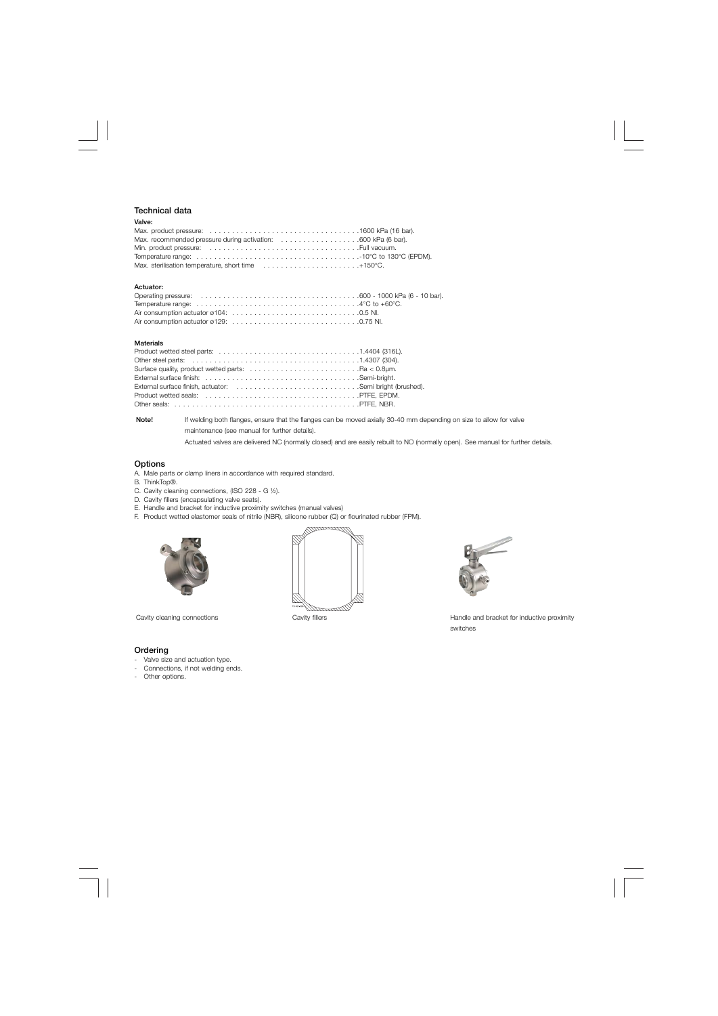## **Technical data**

### **Valve:**

| Max. sterilisation temperature, short time $\ldots \ldots \ldots \ldots \ldots \ldots \ldots \ldots +150^{\circ}C$ . |  |
|----------------------------------------------------------------------------------------------------------------------|--|

#### **Actuator:**

#### **Materials**

| Surface quality, product wetted parts: $\ldots \ldots \ldots \ldots \ldots \ldots \ldots \ldots$ . Ra < 0.8 µm. |  |
|-----------------------------------------------------------------------------------------------------------------|--|
|                                                                                                                 |  |
|                                                                                                                 |  |
|                                                                                                                 |  |
|                                                                                                                 |  |

**Note!** If welding both flanges, ensure that the flanges can be moved axially 30-40 mm depending on size to allow for valve maintenance (see manual for further details).

Actuated valves are delivered NC (normally closed) and are easily rebuilt to NO (normally open). See manual for further details.

## **Options**

- A. Male parts or clamp liners in accordance with required standard.
- B. ThinkTop®.
- C. Cavity cleaning connections, (ISO 228 G ½).
- D. Cavity fillers (encapsulating valve seats).
- E. Handle and bracket for inductive proximity switches (manual valves)
- F. Product wetted elastomer seals of nitrile (NBR), silicone rubber (Q) or flourinated rubber (FPM).







Cavity cleaning connections Cavity fillers Cavity fillers Handle and bracket for inductive proximity switches

#### **Ordering**

- Valve size and actuation type.
- Connections, if not welding ends.
- Other options.